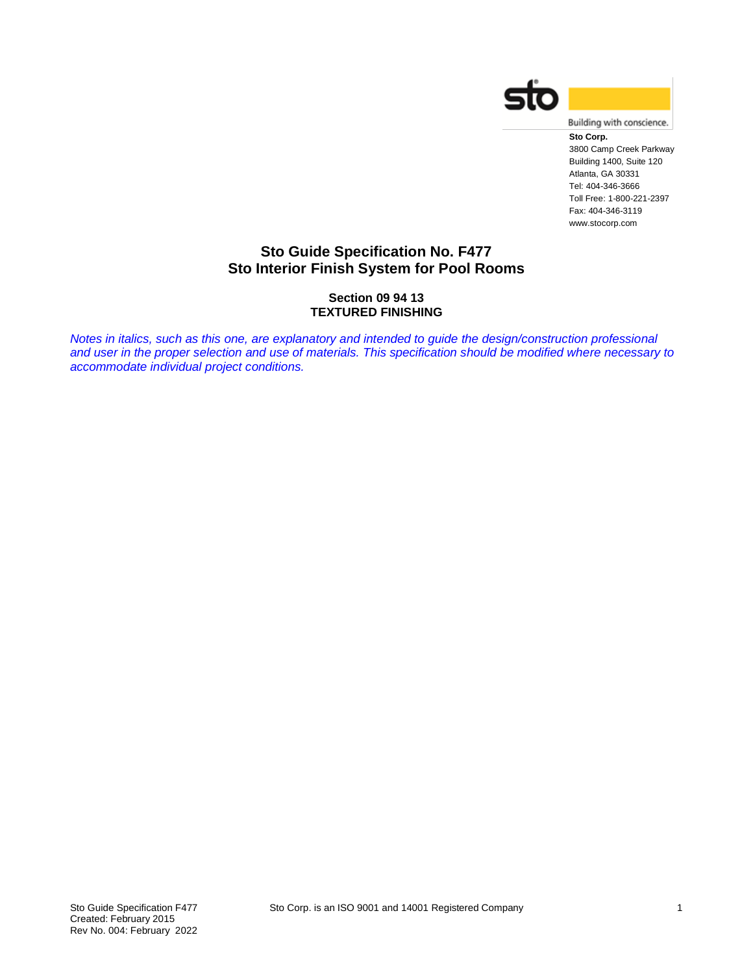



**Sto Corp.** 3800 Camp Creek Parkway Building 1400, Suite 120 Atlanta, GA 30331 Tel: 404-346-3666 Toll Free: 1-800-221-2397 Fax: 404-346-3119 www.stocorp.com

## **Sto Guide Specification No. F477 Sto Interior Finish System for Pool Rooms**

### **Section 09 94 13 TEXTURED FINISHING**

*Notes in italics, such as this one, are explanatory and intended to guide the design/construction professional and user in the proper selection and use of materials. This specification should be modified where necessary to accommodate individual project conditions.*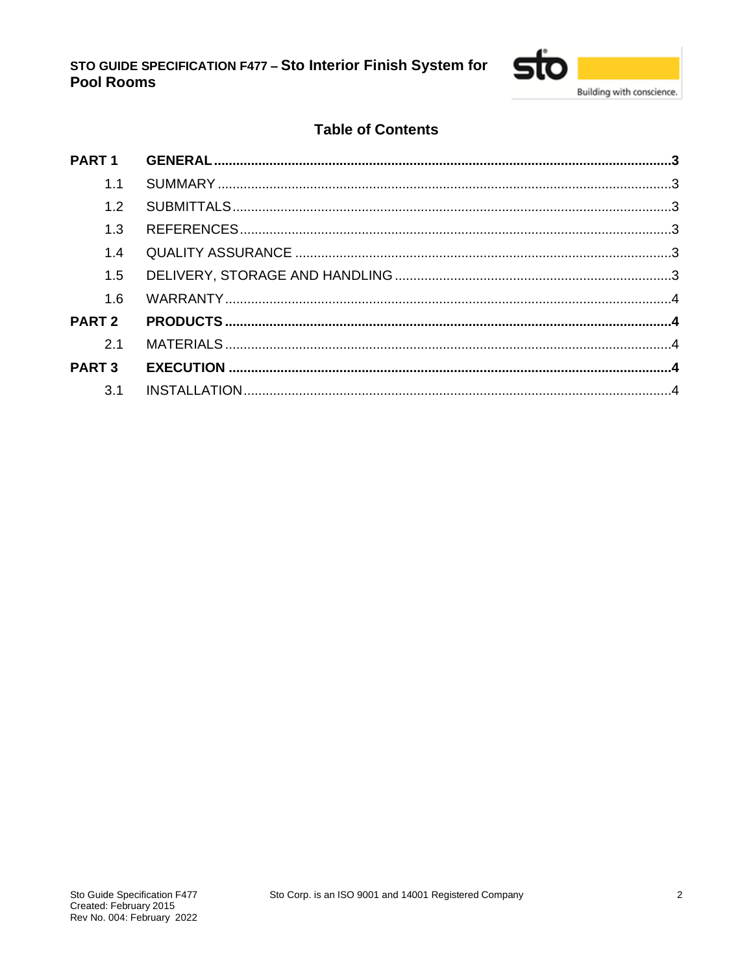

# **Table of Contents**

| 1.1           |  |
|---------------|--|
| 1.2           |  |
| 1.3           |  |
| 1.4           |  |
| 1.5           |  |
| 1.6           |  |
| <b>PART 2</b> |  |
| 2.1           |  |
| <b>PART 3</b> |  |
| 3.1           |  |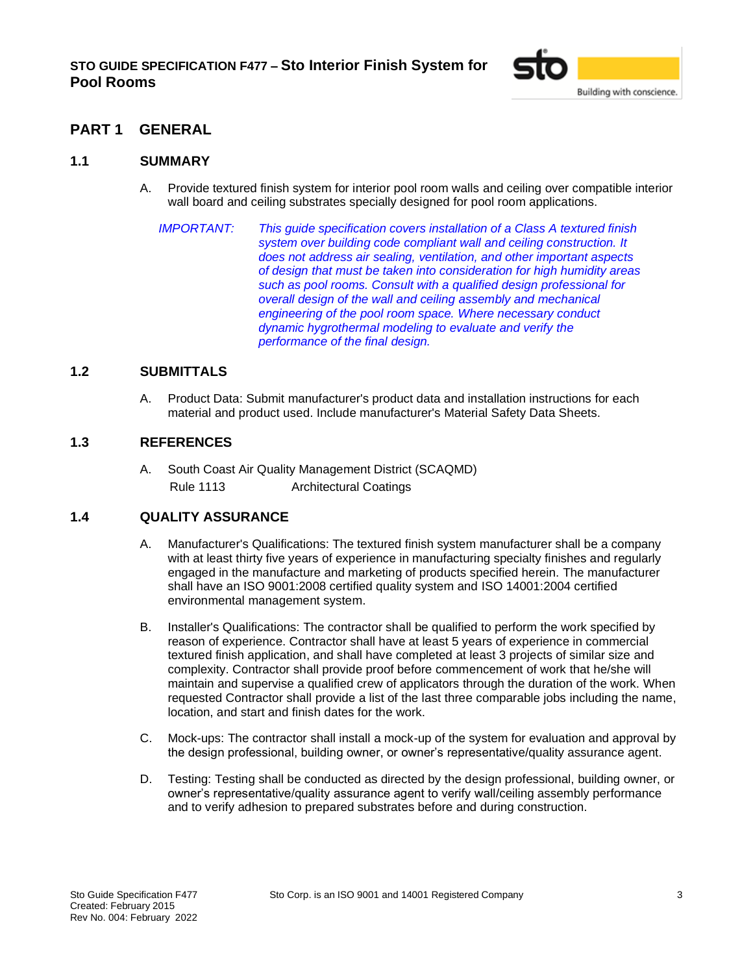

## <span id="page-2-0"></span>**PART 1 GENERAL**

### <span id="page-2-1"></span>**1.1 SUMMARY**

- A. Provide textured finish system for interior pool room walls and ceiling over compatible interior wall board and ceiling substrates specially designed for pool room applications.
	- *IMPORTANT: This guide specification covers installation of a Class A textured finish system over building code compliant wall and ceiling construction. It does not address air sealing, ventilation, and other important aspects of design that must be taken into consideration for high humidity areas such as pool rooms. Consult with a qualified design professional for overall design of the wall and ceiling assembly and mechanical engineering of the pool room space. Where necessary conduct dynamic hygrothermal modeling to evaluate and verify the performance of the final design.*

### <span id="page-2-2"></span>**1.2 SUBMITTALS**

A. Product Data: Submit manufacturer's product data and installation instructions for each material and product used. Include manufacturer's Material Safety Data Sheets.

### <span id="page-2-3"></span>**1.3 REFERENCES**

A. South Coast Air Quality Management District (SCAQMD) Rule 1113 Architectural Coatings

### <span id="page-2-4"></span>**1.4 QUALITY ASSURANCE**

- A. Manufacturer's Qualifications: The textured finish system manufacturer shall be a company with at least thirty five years of experience in manufacturing specialty finishes and regularly engaged in the manufacture and marketing of products specified herein. The manufacturer shall have an ISO 9001:2008 certified quality system and ISO 14001:2004 certified environmental management system.
- B. Installer's Qualifications: The contractor shall be qualified to perform the work specified by reason of experience. Contractor shall have at least 5 years of experience in commercial textured finish application, and shall have completed at least 3 projects of similar size and complexity. Contractor shall provide proof before commencement of work that he/she will maintain and supervise a qualified crew of applicators through the duration of the work. When requested Contractor shall provide a list of the last three comparable jobs including the name, location, and start and finish dates for the work.
- C. Mock-ups: The contractor shall install a mock-up of the system for evaluation and approval by the design professional, building owner, or owner's representative/quality assurance agent.
- D. Testing: Testing shall be conducted as directed by the design professional, building owner, or owner's representative/quality assurance agent to verify wall/ceiling assembly performance and to verify adhesion to prepared substrates before and during construction.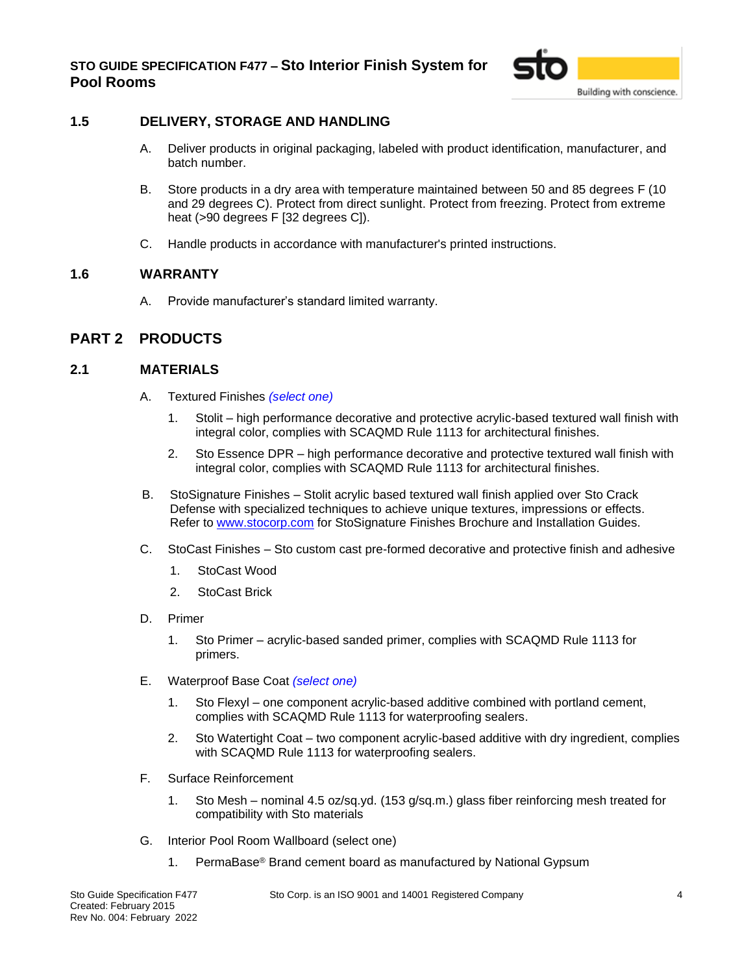

### <span id="page-3-0"></span>**1.5 DELIVERY, STORAGE AND HANDLING**

- A. Deliver products in original packaging, labeled with product identification, manufacturer, and batch number.
- B. Store products in a dry area with temperature maintained between 50 and 85 degrees F (10 and 29 degrees C). Protect from direct sunlight. Protect from freezing. Protect from extreme heat (>90 degrees F [32 degrees C]).
- C. Handle products in accordance with manufacturer's printed instructions.

### <span id="page-3-1"></span>**1.6 WARRANTY**

A. Provide manufacturer's standard limited warranty.

### <span id="page-3-2"></span>**PART 2 PRODUCTS**

### <span id="page-3-3"></span>**2.1 MATERIALS**

- A. Textured Finishes *(select one)*
	- 1. Stolit high performance decorative and protective acrylic-based textured wall finish with integral color, complies with SCAQMD Rule 1113 for architectural finishes.
	- 2. Sto Essence DPR high performance decorative and protective textured wall finish with integral color, complies with SCAQMD Rule 1113 for architectural finishes.
- B. StoSignature Finishes Stolit acrylic based textured wall finish applied over Sto Crack Defense with specialized techniques to achieve unique textures, impressions or effects. Refer to [www.stocorp.com](http://www.stocorp.com/) for StoSignature Finishes Brochure and Installation Guides.
- C. StoCast Finishes Sto custom cast pre-formed decorative and protective finish and adhesive
	- 1. StoCast Wood
	- 2. StoCast Brick
- D. Primer
	- 1. Sto Primer acrylic-based sanded primer, complies with SCAQMD Rule 1113 for primers.
- E. Waterproof Base Coat *(select one)*
	- 1. Sto Flexyl one component acrylic-based additive combined with portland cement, complies with SCAQMD Rule 1113 for waterproofing sealers.
	- 2. Sto Watertight Coat two component acrylic-based additive with dry ingredient, complies with SCAQMD Rule 1113 for waterproofing sealers.
- F. Surface Reinforcement
	- 1. Sto Mesh nominal 4.5 oz/sq.yd. (153 g/sq.m.) glass fiber reinforcing mesh treated for compatibility with Sto materials
- G. Interior Pool Room Wallboard (select one)
	- 1. PermaBase® Brand cement board as manufactured by National Gypsum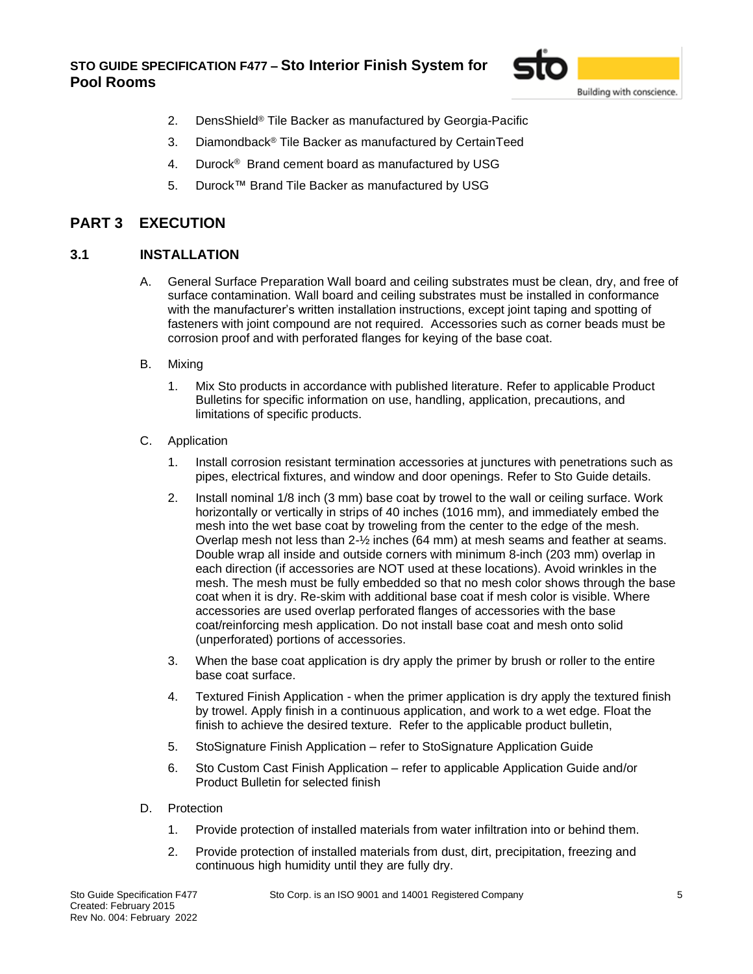## **STO GUIDE SPECIFICATION F477 – Sto Interior Finish System for Pool Rooms**



- 2. DensShield® Tile Backer as manufactured by Georgia-Pacific
- 3. Diamondback® Tile Backer as manufactured by CertainTeed
- 4. Durock<sup>®</sup> Brand cement board as manufactured by USG
- 5. Durock™ Brand Tile Backer as manufactured by USG

## <span id="page-4-0"></span>**PART 3 EXECUTION**

### <span id="page-4-1"></span>**3.1 INSTALLATION**

- A. General Surface Preparation Wall board and ceiling substrates must be clean, dry, and free of surface contamination. Wall board and ceiling substrates must be installed in conformance with the manufacturer's written installation instructions, except joint taping and spotting of fasteners with joint compound are not required. Accessories such as corner beads must be corrosion proof and with perforated flanges for keying of the base coat.
- B. Mixing
	- 1. Mix Sto products in accordance with published literature. Refer to applicable Product Bulletins for specific information on use, handling, application, precautions, and limitations of specific products.
- C. Application
	- 1. Install corrosion resistant termination accessories at junctures with penetrations such as pipes, electrical fixtures, and window and door openings. Refer to Sto Guide details.
	- 2. Install nominal 1/8 inch (3 mm) base coat by trowel to the wall or ceiling surface. Work horizontally or vertically in strips of 40 inches (1016 mm), and immediately embed the mesh into the wet base coat by troweling from the center to the edge of the mesh. Overlap mesh not less than 2-½ inches (64 mm) at mesh seams and feather at seams. Double wrap all inside and outside corners with minimum 8-inch (203 mm) overlap in each direction (if accessories are NOT used at these locations). Avoid wrinkles in the mesh. The mesh must be fully embedded so that no mesh color shows through the base coat when it is dry. Re-skim with additional base coat if mesh color is visible. Where accessories are used overlap perforated flanges of accessories with the base coat/reinforcing mesh application. Do not install base coat and mesh onto solid (unperforated) portions of accessories.
	- 3. When the base coat application is dry apply the primer by brush or roller to the entire base coat surface.
	- 4. Textured Finish Application when the primer application is dry apply the textured finish by trowel. Apply finish in a continuous application, and work to a wet edge. Float the finish to achieve the desired texture. Refer to the applicable product bulletin,
	- 5. StoSignature Finish Application refer to StoSignature Application Guide
	- 6. Sto Custom Cast Finish Application refer to applicable Application Guide and/or Product Bulletin for selected finish
- D. Protection
	- 1. Provide protection of installed materials from water infiltration into or behind them.
	- 2. Provide protection of installed materials from dust, dirt, precipitation, freezing and continuous high humidity until they are fully dry.